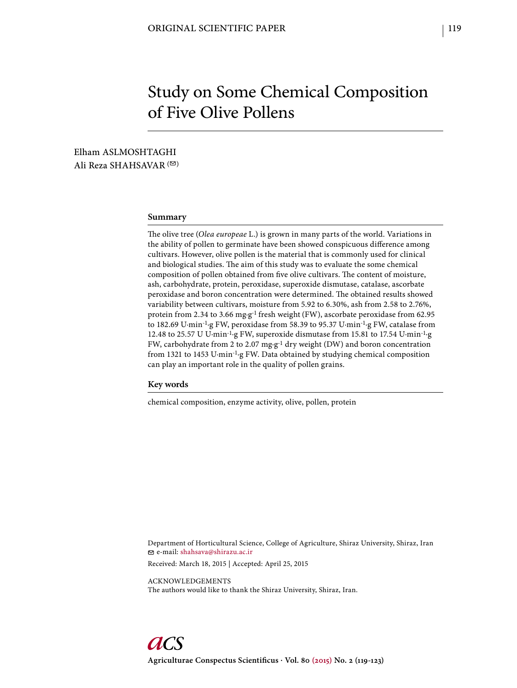# Study on Some Chemical Composition of Five Olive Pollens

Elham ASLMOSHTAGHI Ali Reza SHAHSAVAR<sup>(20)</sup>

# **Summary**

The olive tree (Olea europeae L.) is grown in many parts of the world. Variations in the ability of pollen to germinate have been showed conspicuous difference among cultivars. However, olive pollen is the material that is commonly used for clinical and biological studies. The aim of this study was to evaluate the some chemical composition of pollen obtained from five olive cultivars. The content of moisture, ash, carbohydrate, protein, peroxidase, superoxide dismutase, catalase, ascorbate peroxidase and boron concentration were determined. The obtained results showed variability between cultivars, moisture from 5.92 to 6.30%, ash from 2.58 to 2.76%, protein from 2.34 to 3.66 mg·g<sup>-1</sup> fresh weight (FW), ascorbate peroxidase from 62.95 to 182.69 U·min-1·g FW, peroxidase from 58.39 to 95.37 U·min-1·g FW, catalase from 12.48 to 25.57 U U·min-1·g FW, superoxide dismutase from 15.81 to 17.54 U·min-1·g FW, carbohydrate from 2 to 2.07 mg·g-1 dry weight (DW) and boron concentration from 1321 to 1453 U·min-1·g FW. Data obtained by studying chemical composition can play an important role in the quality of pollen grains.

#### **Key words**

chemical composition, enzyme activity, olive, pollen, protein

Department of Horticultural Science, College of Agriculture, Shiraz University, Shiraz, Iran e-mail: shahsava@shirazu.ac.ir

Received: March 18, 2015 | Accepted: April 25, 2015

ACKNOWLEDGEMENTS The authors would like to thank the Shiraz University, Shiraz, Iran.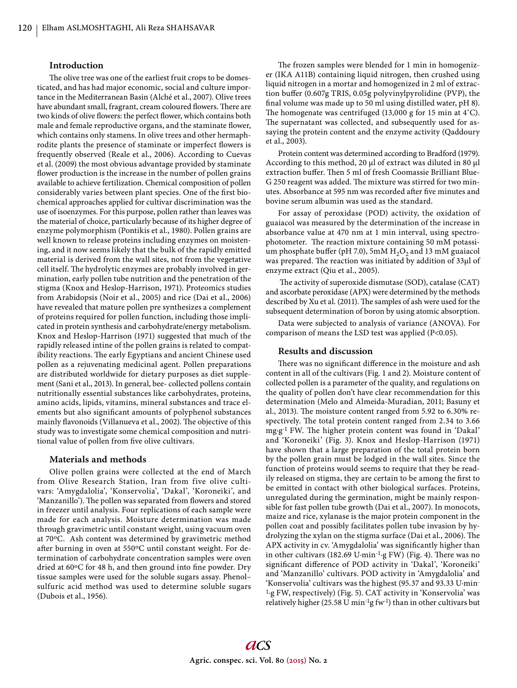# **Introduction**

The olive tree was one of the earliest fruit crops to be domesticated, and has had major economic, social and culture importance in the Mediterranean Basin (Alché et al., 2007). Olive trees have abundant small, fragrant, cream coloured flowers. There are two kinds of olive flowers: the perfect flower, which contains both male and female reproductive organs, and the staminate flower, which contains only stamens. In olive trees and other hermaphrodite plants the presence of staminate or imperfect flowers is frequently observed (Reale et al., 2006). According to Cuevas et al. (2009) the most obvious advantage provided by staminate flower production is the increase in the number of pollen grains available to achieve fertilization. Chemical composition of pollen considerably varies between plant species. One of the first biochemical approaches applied for cultivar discrimination was the use of isoenzymes. For this purpose, pollen rather than leaves was the material of choice, particularly because of its higher degree of enzyme polymorphism (Pontikis et al., 1980). Pollen grains are well known to release proteins including enzymes on moistening, and it now seems likely that the bulk of the rapidly emitted material is derived from the wall sites, not from the vegetative cell itself. The hydrolytic enzymes are probably involved in germination, early pollen tube nutrition and the penetration of the stigma (Knox and Heslop-Harrison, 1971). Proteomics studies from Arabidopsis (Noir et al., 2005) and rice (Dai et al., 2006) have revealed that mature pollen pre synthesizes a complement of proteins required for pollen function, including those implicated in protein synthesis and carbohydrate/energy metabolism. Knox and Heslop-Harrison (1971) suggested that much of the rapidly released intine of the pollen grains is related to compatibility reactions. The early Egyptians and ancient Chinese used pollen as a rejuvenating medicinal agent. Pollen preparations are distributed worldwide for dietary purposes as diet supplement (Sani et al., 2013). In general, bee- collected pollens contain nutritionally essential substances like carbohydrates, proteins, amino acids, lipids, vitamins, mineral substances and trace elements but also significant amounts of polyphenol substances mainly flavonoids (Villanueva et al., 2002). The objective of this study was to investigate some chemical composition and nutritional value of pollen from five olive cultivars.

# **Materials and methods**

Olive pollen grains were collected at the end of March from Olive Research Station, Iran from five olive cultivars: 'Amygdalolia', 'Konservolia', 'Dakal', 'Koroneiki', and 'Manzanillo'). The pollen was separated from flowers and stored in freezer until analysis. Four replications of each sample were made for each analysis. Moisture determination was made through gravimetric until constant weight, using vacuum oven at 70oC. Ash content was determined by gravimetric method after burning in oven at 550°C until constant weight. For determination of carbohydrate concentration samples were oven dried at 60°C for 48 h, and then ground into fine powder. Dry tissue samples were used for the soluble sugars assay. Phenol– sulfuric acid method was used to determine soluble sugars (Dubois et al., 1956).

The frozen samples were blended for 1 min in homogenizer (IKA A11B) containing liquid nitrogen, then crushed using liquid nitrogen in a mortar and homogenized in 2 ml of extraction buffer (0.607g TRIS, 0.05g polyvinylpyrolidine (PVP), the final volume was made up to 50 ml using distilled water, pH 8). The homogenate was centrifuged  $(13,000 \text{ g}$  for 15 min at 4°C). The supernatant was collected, and subsequently used for assaying the protein content and the enzyme activity (Qaddoury et al., 2003).

Protein content was determined according to Bradford (1979). According to this method, 20 μl of extract was diluted in 80 μl extraction buffer. Then 5 ml of fresh Coomassie Brilliant Blue-G 250 reagent was added. The mixture was stirred for two minutes. Absorbance at 595 nm was recorded after five minutes and bovine serum albumin was used as the standard.

For assay of peroxidase (POD) activity, the oxidation of guaiacol was measured by the determination of the increase in absorbance value at 470 nm at 1 min interval, using spectrophotometer. The reaction mixture containing 50 mM potassium phosphate buffer (pH 7.0), 5mM  $H_2O_2$  and 13 mM guaiacol was prepared. The reaction was initiated by addition of 33μl of enzyme extract (Qiu et al., 2005).

The activity of superoxide dismutase (SOD), catalase (CAT) and ascorbate peroxidase (APX) were determined by the methods described by Xu et al. (2011). The samples of ash were used for the subsequent determination of boron by using atomic absorption.

Data were subjected to analysis of variance (ANOVA). For comparison of means the LSD test was applied (P<0.05).

# **Results and discussion**

There was no significant difference in the moisture and ash content in all of the cultivars (Fig. 1 and 2). Moisture content of collected pollen is a parameter of the quality, and regulations on the quality of pollen don't have clear recommendation for this determination (Melo and Almeida-Muradian, 2011; Basuny et al., 2013). The moisture content ranged from 5.92 to 6.30% respectively. The total protein content ranged from 2.34 to 3.66 mg·g<sup>-1</sup> FW. The higher protein content was found in 'Dakal' and 'Koroneiki' (Fig. 3). Knox and Heslop-Harrison (1971) have shown that a large preparation of the total protein born by the pollen grain must be lodged in the wall sites. Since the function of proteins would seems to require that they be readily released on stigma, they are certain to be among the first to be emitted in contact with other biological surfaces. Proteins, unregulated during the germination, might be mainly responsible for fast pollen tube growth (Dai et al., 2007). In monocots, maize and rice, xylanase is the major protein component in the pollen coat and possibly facilitates pollen tube invasion by hydrolyzing the xylan on the stigma surface (Dai et al., 2006). The APX activity in cv. 'Amygdalolia' was significantly higher than in other cultivars (182.69 U·min<sup>-1</sup>·g FW) (Fig. 4). There was no significant difference of POD activity in 'Dakal', 'Koroneiki' and 'Manzanillo' cultivars. POD activity in 'Amygdalolia' and 'Konservolia' cultivars was the highest (95.37 and 93.33 U·min-1·g FW, respectively) (Fig. 5). CAT activity in 'Konservolia' was relatively higher (25.58 U min<sup>-1</sup>g fw<sup>-1</sup>) than in other cultivars but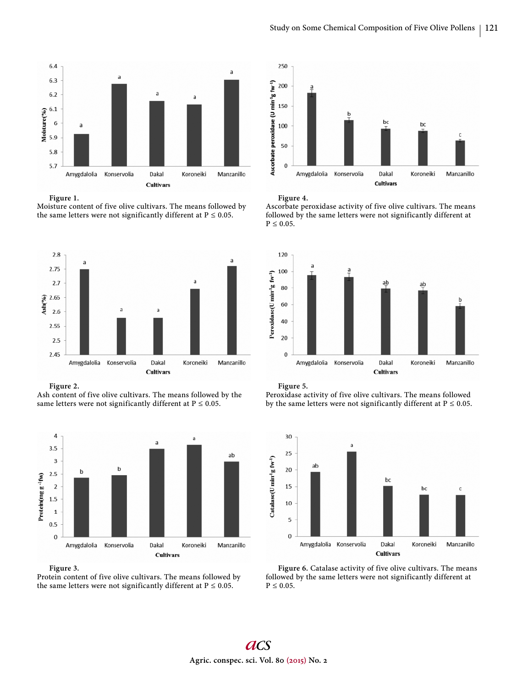

#### **Figure 1.**

Moisture content of five olive cultivars. The means followed by the same letters were not significantly different at  $P \le 0.05$ .



**Figure 2.**

Ash content of five olive cultivars. The means followed by the same letters were not significantly different at  $P \le 0.05$ .



**Figure 3.**

Protein content of five olive cultivars. The means followed by the same letters were not significantly different at  $P \le 0.05$ .



**Figure 4.** 

Ascorbate peroxidase activity of five olive cultivars. The means followed by the same letters were not significantly different at  $P \leq 0.05$ .



**Figure 5.** 

Peroxidase activity of five olive cultivars. The means followed by the same letters were not significantly different at  $P \le 0.05$ .



Figure 6. Catalase activity of five olive cultivars. The means followed by the same letters were not significantly different at  $P \leq 0.05$ .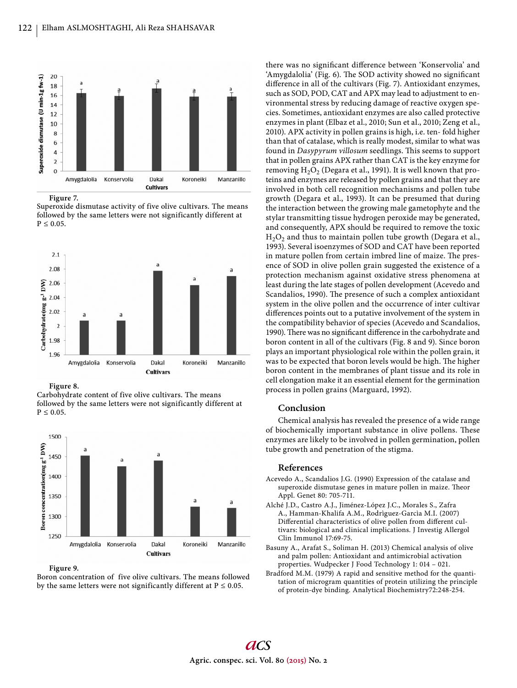

**Figure 7.** 

Superoxide dismutase activity of five olive cultivars. The means followed by the same letters were not significantly different at  $P \leq 0.05$ .



**Figure 8.** 

Carbohydrate content of five olive cultivars. The means followed by the same letters were not significantly different at  $P \leq 0.05$ .



**Figure 9.** 

Boron concentration of five olive cultivars. The means followed by the same letters were not significantly different at  $P \le 0.05$ .

there was no significant difference between 'Konservolia' and 'Amygdalolia' (Fig. 6). The SOD activity showed no significant difference in all of the cultivars (Fig. 7). Antioxidant enzymes, such as SOD, POD, CAT and APX may lead to adjustment to environmental stress by reducing damage of reactive oxygen species. Sometimes, antioxidant enzymes are also called protective enzymes in plant (Elbaz et al., 2010; Sun et al., 2010; Zeng et al., 2010). APX activity in pollen grains is high, i.e. ten- fold higher than that of catalase, which is really modest, similar to what was found in *Dasypyrum villosum* seedlings. This seems to support that in pollen grains APX rather than CAT is the key enzyme for removing  $H_2O_2$  (Degara et al., 1991). It is well known that proteins and enzymes are released by pollen grains and that they are involved in both cell recognition mechanisms and pollen tube growth (Degara et al., 1993). It can be presumed that during the interaction between the growing male gametophyte and the stylar transmitting tissue hydrogen peroxide may be generated, and consequently, APX should be required to remove the toxic  $H_2O_2$  and thus to maintain pollen tube growth (Degara et al., 1993). Several isoenzymes of SOD and CAT have been reported in mature pollen from certain imbred line of maize. The presence of SOD in olive pollen grain suggested the existence of a protection mechanism against oxidative stress phenomena at least during the late stages of pollen development (Acevedo and Scandalios, 1990). The presence of such a complex antioxidant system in the olive pollen and the occurrence of inter cultivar differences points out to a putative involvement of the system in the compatibility behavior of species (Acevedo and Scandalios, 1990). There was no significant difference in the carbohydrate and boron content in all of the cultivars (Fig. 8 and 9). Since boron plays an important physiological role within the pollen grain, it was to be expected that boron levels would be high. The higher boron content in the membranes of plant tissue and its role in cell elongation make it an essential element for the germination process in pollen grains (Marguard, 1992).

# **Conclusion**

Chemical analysis has revealed the presence of a wide range of biochemically important substance in olive pollens. These enzymes are likely to be involved in pollen germination, pollen tube growth and penetration of the stigma.

# **References**

- Acevedo A., Scandalios J.G. (1990) Expression of the catalase and superoxide dismutase genes in mature pollen in maize. Theor Appl. Genet 80: 705-711.
- Alché J.D., Castro A.J., Jiménez-López J.C., Morales S., Zafra A., Hamman-Khalifa A.M., Rodrìguez-Garcìa M.I. (2007) Differential characteristics of olive pollen from different cultivars: biological and clinical implications. J Investig Allergol Clin Immunol 17:69-75.
- Basuny A., Arafat S., Soliman H. (2013) Chemical analysis of olive and palm pollen: Antioxidant and antimicrobial activation properties. Wudpecker J Food Technology 1: 014 – 021.
- Bradford M.M. (1979) A rapid and sensitive method for the quantitation of microgram quantities of protein utilizing the principle of protein-dye binding. Analytical Biochemistry72:248-254.